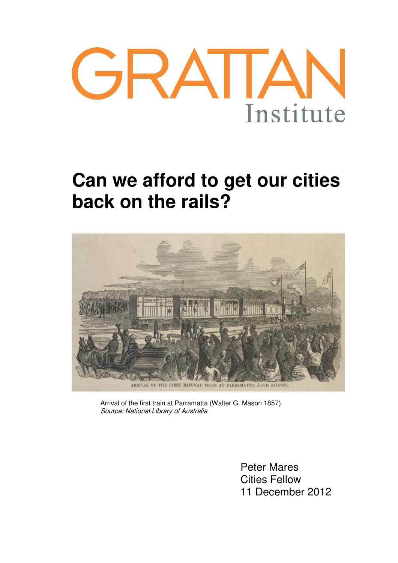

# **Can we afford to get our cities back on the rails?**



Arrival of the first train at Parramatta (Walter G. Mason 1857) *Source: National Library of Australia*

> Peter Mares Cities Fellow 11 December 2012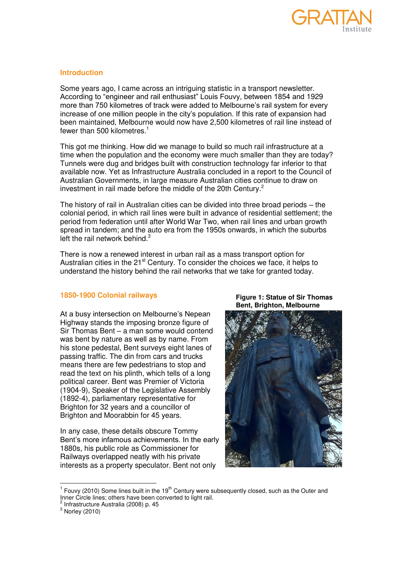

## **Introduction**

Some years ago, I came across an intriguing statistic in a transport newsletter. According to "engineer and rail enthusiast" Louis Fouvy, between 1854 and 1929 more than 750 kilometres of track were added to Melbourne's rail system for every increase of one million people in the city's population. If this rate of expansion had been maintained, Melbourne would now have 2,500 kilometres of rail line instead of fewer than 500 kilometres.<sup>1</sup>

This got me thinking. How did we manage to build so much rail infrastructure at a time when the population and the economy were much smaller than they are today? Tunnels were dug and bridges built with construction technology far inferior to that available now. Yet as Infrastructure Australia concluded in a report to the Council of Australian Governments, in large measure Australian cities continue to draw on investment in rail made before the middle of the 20th Century*.* 2

The history of rail in Australian cities can be divided into three broad periods – the colonial period, in which rail lines were built in advance of residential settlement; the period from federation until after World War Two, when rail lines and urban growth spread in tandem; and the auto era from the 1950s onwards, in which the suburbs left the rail network behind. $3$ 

There is now a renewed interest in urban rail as a mass transport option for Australian cities in the 21<sup>st</sup> Century. To consider the choices we face, it helps to understand the history behind the rail networks that we take for granted today.

## **1850-1900 Colonial railways**

At a busy intersection on Melbourne's Nepean Highway stands the imposing bronze figure of Sir Thomas Bent – a man some would contend was bent by nature as well as by name. From his stone pedestal, Bent surveys eight lanes of passing traffic. The din from cars and trucks means there are few pedestrians to stop and read the text on his plinth, which tells of a long political career. Bent was Premier of Victoria (1904-9), Speaker of the Legislative Assembly (1892-4), parliamentary representative for Brighton for 32 years and a councillor of Brighton and Moorabbin for 45 years.

In any case, these details obscure Tommy Bent's more infamous achievements. In the early 1880s, his public role as Commissioner for Railways overlapped neatly with his private interests as a property speculator. Bent not only

**Figure 1: Statue of Sir Thomas Bent, Brighton, Melbourne**



<sup>————————————————————&</sup>lt;br><sup>1</sup> Fouvy (2010) Some lines built in the 19<sup>th</sup> Century were subsequently closed, such as the Outer and Inner Circle lines; others have been converted to light rail.

 $3$  Norley (2010)

<sup>2</sup> Infrastructure Australia (2008) p. 45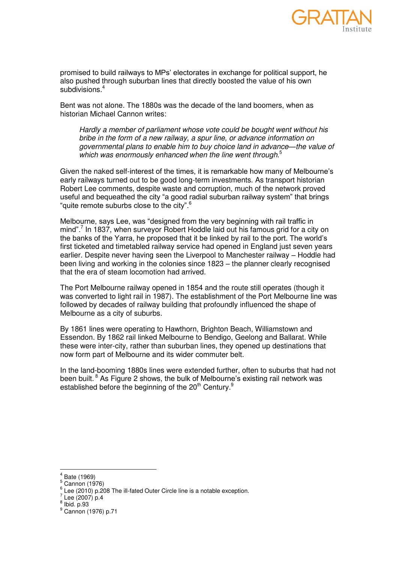

promised to build railways to MPs' electorates in exchange for political support, he also pushed through suburban lines that directly boosted the value of his own subdivisions.<sup>4</sup>

Bent was not alone. The 1880s was the decade of the land boomers, when as historian Michael Cannon writes:

*Hardly a member of parliament whose vote could be bought went without his bribe in the form of a new railway, a spur line, or advance information on governmental plans to enable him to buy choice land in advance—the value of which was enormously enhanced when the line went through*. 5

Given the naked self-interest of the times, it is remarkable how many of Melbourne's early railways turned out to be good long-term investments. As transport historian Robert Lee comments, despite waste and corruption, much of the network proved useful and bequeathed the city "a good radial suburban railway system" that brings "quite remote suburbs close to the city".<sup>6</sup>

Melbourne, says Lee, was "designed from the very beginning with rail traffic in mind".<sup>7</sup> In 1837, when surveyor Robert Hoddle laid out his famous grid for a city on the banks of the Yarra, he proposed that it be linked by rail to the port. The world's first ticketed and timetabled railway service had opened in England just seven years earlier. Despite never having seen the Liverpool to Manchester railway – Hoddle had been living and working in the colonies since 1823 – the planner clearly recognised that the era of steam locomotion had arrived.

The Port Melbourne railway opened in 1854 and the route still operates (though it was converted to light rail in 1987). The establishment of the Port Melbourne line was followed by decades of railway building that profoundly influenced the shape of Melbourne as a city of suburbs.

By 1861 lines were operating to Hawthorn, Brighton Beach, Williamstown and Essendon. By 1862 rail linked Melbourne to Bendigo, Geelong and Ballarat. While these were inter-city, rather than suburban lines, they opened up destinations that now form part of Melbourne and its wider commuter belt.

In the land-booming 1880s lines were extended further, often to suburbs that had not been built. $8$  As [Figure 2](#page-3-0) shows, the bulk of Melbourne's existing rail network was established before the beginning of the 20<sup>th</sup> Century.<sup>9</sup>

 4 Bate (1969)

 $5$  Cannon (1976)

 $^6$  Lee (2010) p.208 The ill-fated Outer Circle line is a notable exception.

 $\frac{7}{1}$  Lee (2007) p.4

 $<sup>8</sup>$  Ibid. p.93</sup>

<sup>&</sup>lt;sup>9</sup> Cannon (1976) p.71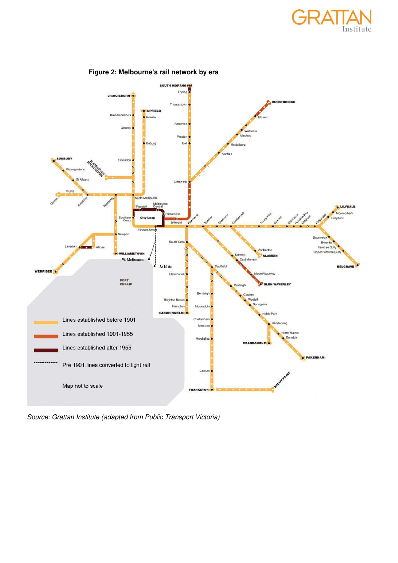



## <span id="page-3-0"></span>**Figure 2: Melbourne's rail network by era**

*Source: Grattan Institute (adapted from Public Transport Victoria)*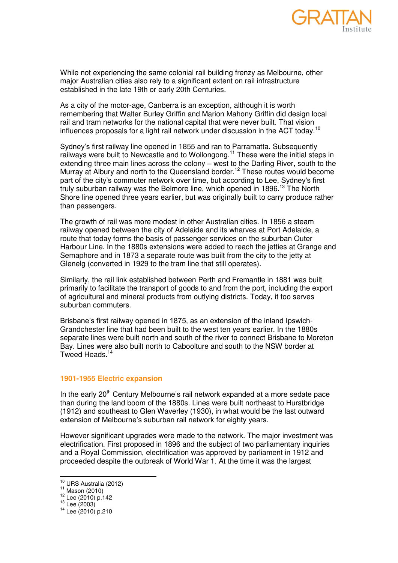

While not experiencing the same colonial rail building frenzy as Melbourne, other major Australian cities also rely to a significant extent on rail infrastructure established in the late 19th or early 20th Centuries.

As a city of the motor-age, Canberra is an exception, although it is worth remembering that Walter Burley Griffin and Marion Mahony Griffin did design local rail and tram networks for the national capital that were never built. That vision influences proposals for a light rail network under discussion in the ACT today.<sup>10</sup>

Sydney's first railway line opened in 1855 and ran to Parramatta. Subsequently railways were built to Newcastle and to Wollongong.<sup>11</sup> These were the initial steps in extending three main lines across the colony – west to the Darling River, south to the Murray at Albury and north to the Queensland border.<sup>12</sup> These routes would become part of the city's commuter network over time, but according to Lee, Sydney's first truly suburban railway was the Belmore line, which opened in 1896.<sup>13</sup> The North Shore line opened three years earlier, but was originally built to carry produce rather than passengers.

The growth of rail was more modest in other Australian cities. In 1856 a steam railway opened between the city of Adelaide and its wharves at Port Adelaide, a route that today forms the basis of passenger services on the suburban Outer Harbour Line. In the 1880s extensions were added to reach the jetties at Grange and Semaphore and in 1873 a separate route was built from the city to the jetty at Glenelg (converted in 1929 to the tram line that still operates).

Similarly, the rail link established between Perth and Fremantle in 1881 was built primarily to facilitate the transport of goods to and from the port, including the export of agricultural and mineral products from outlying districts. Today, it too serves suburban commuters.

Brisbane's first railway opened in 1875, as an extension of the inland Ipswich-Grandchester line that had been built to the west ten years earlier. In the 1880s separate lines were built north and south of the river to connect Brisbane to Moreton Bay. Lines were also built north to Caboolture and south to the NSW border at Tweed Heads.<sup>14</sup>

## **1901-1955 Electric expansion**

In the early  $20<sup>th</sup>$  Century Melbourne's rail network expanded at a more sedate pace than during the land boom of the 1880s. Lines were built northeast to Hurstbridge (1912) and southeast to Glen Waverley (1930), in what would be the last outward extension of Melbourne's suburban rail network for eighty years.

However significant upgrades were made to the network. The major investment was electrification. First proposed in 1896 and the subject of two parliamentary inquiries and a Royal Commission, electrification was approved by parliament in 1912 and proceeded despite the outbreak of World War 1. At the time it was the largest

 $\frac{1}{2}$ 

 $^{10}$  URS Australia (2012)

<sup>11</sup> Mason (2010)

 $12$  Lee (2010) p.142

 $13$  Lee (2003)

<sup>14</sup> Lee (2010) p.210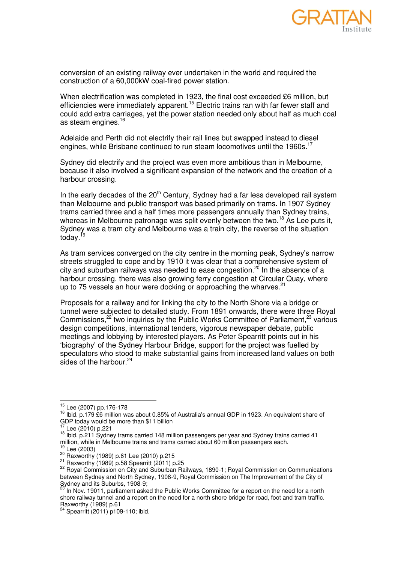

conversion of an existing railway ever undertaken in the world and required the construction of a 60,000kW coal-fired power station.

When electrification was completed in 1923, the final cost exceeded £6 million, but efficiencies were immediately apparent.<sup>15</sup> Electric trains ran with far fewer staff and could add extra carriages, yet the power station needed only about half as much coal as steam engines.<sup>16</sup>

Adelaide and Perth did not electrify their rail lines but swapped instead to diesel engines, while Brisbane continued to run steam locomotives until the 1960s.<sup>17</sup>

Sydney did electrify and the project was even more ambitious than in Melbourne, because it also involved a significant expansion of the network and the creation of a harbour crossing.

In the early decades of the  $20<sup>th</sup>$  Century, Sydney had a far less developed rail system than Melbourne and public transport was based primarily on trams. In 1907 Sydney trams carried three and a half times more passengers annually than Sydney trains, whereas in Melbourne patronage was split evenly between the two.<sup>18</sup> As Lee puts it, Sydney was a tram city and Melbourne was a train city, the reverse of the situation today. $1$ 

As tram services converged on the city centre in the morning peak, Sydney's narrow streets struggled to cope and by 1910 it was clear that a comprehensive system of city and suburban railways was needed to ease congestion.<sup>20</sup> In the absence of a harbour crossing, there was also growing ferry congestion at Circular Quay, where up to 75 vessels an hour were docking or approaching the wharves. $21$ 

Proposals for a railway and for linking the city to the North Shore via a bridge or tunnel were subjected to detailed study. From 1891 onwards, there were three Royal Commissions,<sup>22</sup> two inquiries by the Public Works Committee of Parliament,<sup>23</sup> various design competitions, international tenders, vigorous newspaper debate, public meetings and lobbying by interested players. As Peter Spearritt points out in his ‗biography' of the Sydney Harbour Bridge, support for the project was fuelled by speculators who stood to make substantial gains from increased land values on both sides of the harbour. $24$ 

 $\frac{1}{2}$ 

 $^{15}_{12}$  Lee (2007) pp.176-178

<sup>16</sup> Ibid. p.179 £6 million was about 0.85% of Australia's annual GDP in 1923. An equivalent share of GDP today would be more than \$11 billion

Lee (2010) p.221

<sup>18</sup> Ibid. p.211 Sydney trams carried 148 million passengers per year and Sydney trains carried 41 million, while in Melbourne trains and trams carried about 60 million passengers each.

Lee  $(2003)$ 

 $20 \overline{P}22 \overline{CP}$  Raxworthy (1989) p.61 Lee (2010) p.215

<sup>21</sup> Raxworthy (1989) p.58 Spearritt (2011) p.25

<sup>&</sup>lt;sup>22</sup> Royal Commission on City and Suburban Railways, 1890-1; Royal Commission on Communications between Sydney and North Sydney, 1908-9, Royal Commission on The Improvement of the City of Sydney and its Suburbs, 1908-9;

<sup>23</sup> In Nov. 19011, parliament asked the Public Works Committee for a report on the need for a north shore railway tunnel and a report on the need for a north shore bridge for road, foot and tram traffic. Raxworthy (1989) p.61

Spearritt (2011) p109-110; ibid.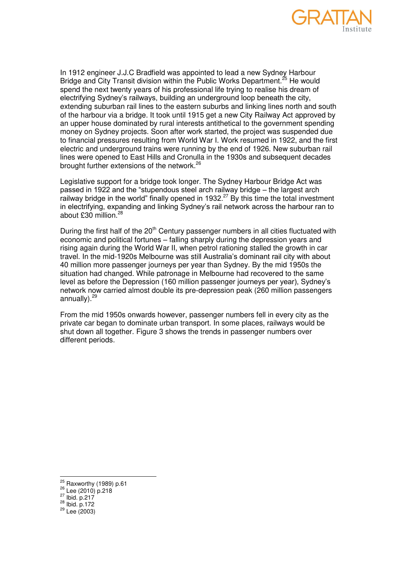

In 1912 engineer J.J.C Bradfield was appointed to lead a new Sydney Harbour Bridge and City Transit division within the Public Works Department.<sup>25</sup> He would spend the next twenty years of his professional life trying to realise his dream of electrifying Sydney's railways, building an underground loop beneath the city, extending suburban rail lines to the eastern suburbs and linking lines north and south of the harbour via a bridge. It took until 1915 get a new City Railway Act approved by an upper house dominated by rural interests antithetical to the government spending money on Sydney projects. Soon after work started, the project was suspended due to financial pressures resulting from World War I. Work resumed in 1922, and the first electric and underground trains were running by the end of 1926. New suburban rail lines were opened to East Hills and Cronulla in the 1930s and subsequent decades brought further extensions of the network.<sup>26</sup>

Legislative support for a bridge took longer. The Sydney Harbour Bridge Act was passed in 1922 and the "stupendous steel arch railway bridge – the largest arch railway bridge in the world" finally opened in 1932. $^{27}$  By this time the total investment in electrifying, expanding and linking Sydney's rail network across the harbour ran to about £30 million.<sup>28</sup>

During the first half of the 20<sup>th</sup> Century passenger numbers in all cities fluctuated with economic and political fortunes – falling sharply during the depression years and rising again during the World War II, when petrol rationing stalled the growth in car travel. In the mid-1920s Melbourne was still Australia's dominant rail city with about 40 million more passenger journeys per year than Sydney. By the mid 1950s the situation had changed. While patronage in Melbourne had recovered to the same level as before the Depression (160 million passenger journeys per year), Sydney's network now carried almost double its pre-depression peak (260 million passengers annually). $29$ 

From the mid 1950s onwards however, passenger numbers fell in every city as the private car began to dominate urban transport. In some places, railways would be shut down all together. [Figure 3](#page-7-0) shows the trends in passenger numbers over different periods.

 $^{27}$  Ibid. p.217

 $^{25}$  Raxworthy (1989) p.61

<sup>26</sup> Lee (2010) p.218

 $^{28}$  Ibid. p.172

 $^{29}$  Lee (2003)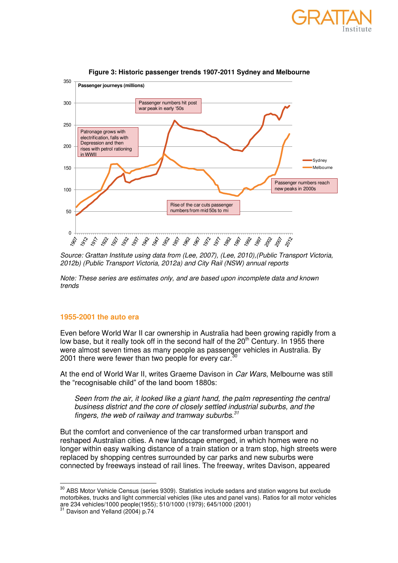

<span id="page-7-0"></span>

## **Figure 3: Historic passenger trends 1907-2011 Sydney and Melbourne**

*Source: Grattan Institute using data from [\(Lee, 2007\)](#page-22-0), [\(Lee, 2010\)](#page-22-1),[\(Public Transport Victoria,](#page-23-0)  [2012b\)](#page-23-0) [\(Public Transport Victoria, 2012a\)](#page-22-2) and City Rail (NSW) annual reports* 

*Note: These series are estimates only, and are based upon incomplete data and known trends* 

### **1955-2001 the auto era**

Even before World War II car ownership in Australia had been growing rapidly from a low base, but it really took off in the second half of the  $20<sup>th</sup>$  Century. In 1955 there were almost seven times as many people as passenger vehicles in Australia. By 2001 there were fewer than two people for every car. $3$ 

At the end of World War II, writes Graeme Davison in *Car Wars*, Melbourne was still the "recognisable child" of the land boom 1880s:

*Seen from the air, it looked like a giant hand, the palm representing the central business district and the core of closely settled industrial suburbs, and the fingers, the web of railway and tramway suburbs.<sup>31</sup>*

But the comfort and convenience of the car transformed urban transport and reshaped Australian cities. A new landscape emerged, in which homes were no longer within easy walking distance of a train station or a tram stop, high streets were replaced by shopping centres surrounded by car parks and new suburbs were connected by freeways instead of rail lines. The freeway, writes Davison, appeared

 $30$  ABS Motor Vehicle Census (series 9309). Statistics include sedans and station wagons but exclude motorbikes, trucks and light commercial vehicles (like utes and panel vans). Ratios for all motor vehicles are 234 vehicles/1000 people(1955); 510/1000 (1979); 645/1000 (2001)

Davison and Yelland (2004) p.74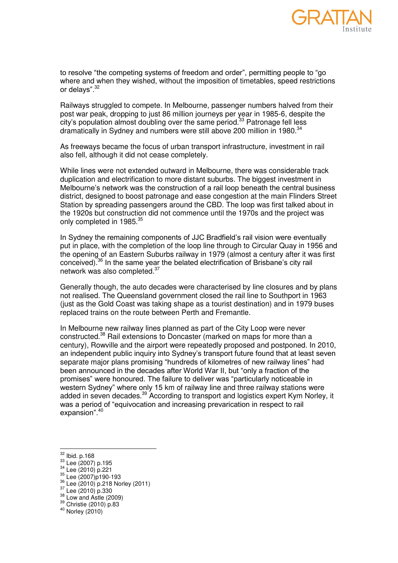

to resolve "the competing systems of freedom and order", permitting people to "go where and when they wished, without the imposition of timetables, speed restrictions or delays".<sup>32</sup>

Railways struggled to compete. In Melbourne, passenger numbers halved from their post war peak, dropping to just 86 million journeys per year in 1985-6, despite the city's population almost doubling over the same period.<sup>33</sup> Patronage fell less dramatically in Sydney and numbers were still above 200 million in 1980.<sup>34</sup>

As freeways became the focus of urban transport infrastructure, investment in rail also fell, although it did not cease completely.

While lines were not extended outward in Melbourne, there was considerable track duplication and electrification to more distant suburbs. The biggest investment in Melbourne's network was the construction of a rail loop beneath the central business district, designed to boost patronage and ease congestion at the main Flinders Street Station by spreading passengers around the CBD. The loop was first talked about in the 1920s but construction did not commence until the 1970s and the project was only completed in 1985.<sup>35</sup>

In Sydney the remaining components of JJC Bradfield's rail vision were eventually put in place, with the completion of the loop line through to Circular Quay in 1956 and the opening of an Eastern Suburbs railway in 1979 (almost a century after it was first conceived).<sup>36</sup> In the same year the belated electrification of Brisbane's city rail network was also completed.<sup>37</sup>

Generally though, the auto decades were characterised by line closures and by plans not realised. The Queensland government closed the rail line to Southport in 1963 (just as the Gold Coast was taking shape as a tourist destination) and in 1979 buses replaced trains on the route between Perth and Fremantle.

In Melbourne new railway lines planned as part of the City Loop were never constructed.<sup>38</sup> Rail extensions to Doncaster (marked on maps for more than a century), Rowville and the airport were repeatedly proposed and postponed. In 2010, an independent public inquiry into Sydney's transport future found that at least seven separate major plans promising "hundreds of kilometres of new railway lines" had been announced in the decades after World War II, but "only a fraction of the promises" were honoured. The failure to deliver was "particularly noticeable in western Sydney" where only 15 km of railway line and three railway stations were added in seven decades.<sup>39</sup> According to transport and logistics expert Kym Norley, it was a period of "equivocation and increasing prevarication in respect to rail expansion".<sup>40</sup>

 $32$  Ibid. p.168

<sup>33</sup> Lee (2007) p.195

<sup>34</sup> Lee (2010) p.221

<sup>35</sup> Lee (2007)p190-193

<sup>36</sup> Lee (2010) p.218 Norley (2011)

 $37 \text{ Lee}$  (2010) p.330

 $38$  Low and Astle (2009)

<sup>39</sup> Christie (2010) p.83

<sup>40</sup> Norley (2010)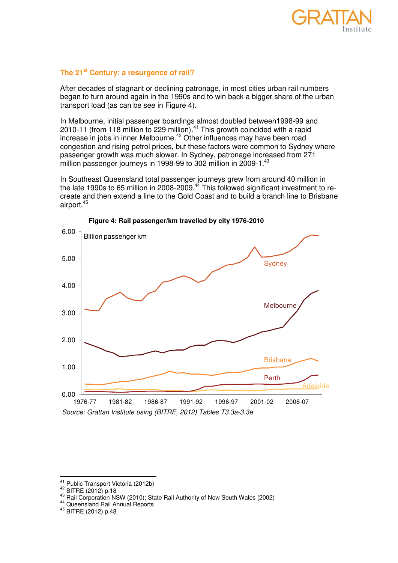

# **The 21st Century: a resurgence of rail?**

After decades of stagnant or declining patronage, in most cities urban rail numbers began to turn around again in the 1990s and to win back a bigger share of the urban transport load (as can be see in [Figure 4\)](#page-9-0).

In Melbourne, initial passenger boardings almost doubled between1998-99 and 2010-11 (from 118 million to 229 million).<sup>41</sup> This growth coincided with a rapid increase in jobs in inner Melbourne.<sup>42</sup> Other influences may have been road congestion and rising petrol prices, but these factors were common to Sydney where passenger growth was much slower. In Sydney, patronage increased from 271 million passenger journeys in 1998-99 to 302 million in 2009-1.<sup>43</sup>

In Southeast Queensland total passenger journeys grew from around 40 million in the late 1990s to 65 million in 2008-2009. $44$  This followed significant investment to recreate and then extend a line to the Gold Coast and to build a branch line to Brisbane airport.<sup>45</sup>

<span id="page-9-0"></span>



 $^{41}$  Public Transport Victoria (2012b)

<sup>42</sup> BITRE (2012) p.18

<sup>43</sup> Rail Corporation NSW (2010); State Rail Authority of New South Wales (2002)

<sup>44</sup> Queensland Rail Annual Reports

<sup>45</sup> BITRE (2012) p.48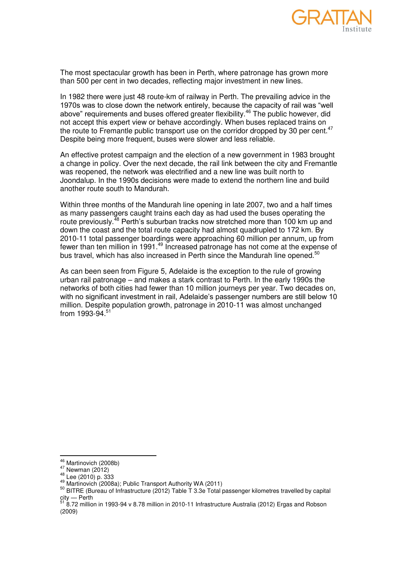

The most spectacular growth has been in Perth, where patronage has grown more than 500 per cent in two decades, reflecting major investment in new lines.

In 1982 there were just 48 route-km of railway in Perth. The prevailing advice in the 1970s was to close down the network entirely, because the capacity of rail was "well above" requirements and buses offered greater flexibility.<sup>46</sup> The public however, did not accept this expert view or behave accordingly. When buses replaced trains on the route to Fremantle public transport use on the corridor dropped by 30 per cent.<sup>47</sup> Despite being more frequent, buses were slower and less reliable.

An effective protest campaign and the election of a new government in 1983 brought a change in policy. Over the next decade, the rail link between the city and Fremantle was reopened, the network was electrified and a new line was built north to Joondalup. In the 1990s decisions were made to extend the northern line and build another route south to Mandurah.

Within three months of the Mandurah line opening in late 2007, two and a half times as many passengers caught trains each day as had used the buses operating the route previously.<sup>48</sup> Perth's suburban tracks now stretched more than 100 km up and down the coast and the total route capacity had almost quadrupled to 172 km. By 2010-11 total passenger boardings were approaching 60 million per annum, up from fewer than ten million in 1991.<sup>49</sup> Increased patronage has not come at the expense of bus travel, which has also increased in Perth since the Mandurah line opened.<sup>50</sup>

As can been seen from [Figure 5,](#page-11-0) Adelaide is the exception to the rule of growing urban rail patronage – and makes a stark contrast to Perth. In the early 1990s the networks of both cities had fewer than 10 million journeys per year. Two decades on, with no significant investment in rail, Adelaide's passenger numbers are still below 10 million. Despite population growth, patronage in 2010-11 was almost unchanged from 1993-94. $51$ 

 $^{46}_{-2}$  Martinovich (2008b)

 $^{47}$  Newman (2012)

 $^{48}_{12}$  Lee (2010) p. 333

<sup>49</sup> Martinovich (2008a); Public Transport Authority WA (2011)

<sup>50</sup> BITRE (Bureau of Infrastructure (2012) Table T 3.3e Total passenger kilometres travelled by capital city — Perth

<sup>&</sup>lt;sup>51</sup> 8.72 million in 1993-94 v 8.78 million in 2010-11 Infrastructure Australia (2012) Ergas and Robson (2009)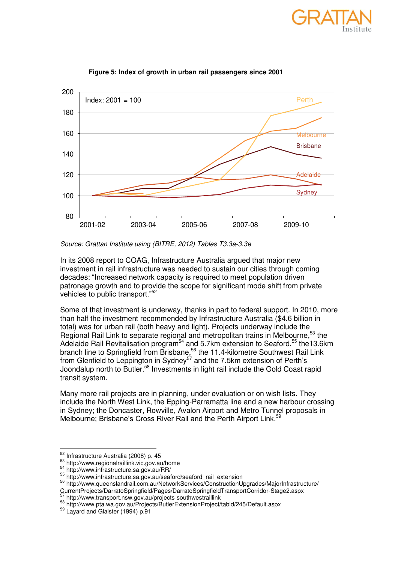

<span id="page-11-0"></span>

**Figure 5: Index of growth in urban rail passengers since 2001** 

*Source: Grattan Institute using [\(BITRE, 2012\)](#page-21-0) Tables T3.3a-3.3e* 

In its 2008 report to COAG, Infrastructure Australia argued that major new investment in rail infrastructure was needed to sustain our cities through coming decades: ―Increased network capacity is required to meet population driven patronage growth and to provide the scope for significant mode shift from private vehicles to public transport."<sup>52</sup>

Some of that investment is underway, thanks in part to federal support. In 2010, more than half the investment recommended by Infrastructure Australia (\$4.6 billion in total) was for urban rail (both heavy and light). Projects underway include the Regional Rail Link to separate regional and metropolitan trains in Melbourne,<sup>53</sup> the Adelaide Rail Revitalisation program<sup>54</sup> and 5.7km extension to Seaford,<sup>55</sup> the13.6km branch line to Springfield from Brisbane,<sup>56</sup> the 11.4-kilometre Southwest Rail Link from Glenfield to Leppington in Sydney<sup>57</sup> and the 7.5km extension of Perth's Joondalup north to Butler.<sup>58</sup> Investments in light rail include the Gold Coast rapid transit system.

Many more rail projects are in planning, under evaluation or on wish lists. They include the North West Link, the Epping-Parramatta line and a new harbour crossing in Sydney; the Doncaster, Rowville, Avalon Airport and Metro Tunnel proposals in Melbourne; Brisbane's Cross River Rail and the Perth Airport Link.<sup>59</sup>

<sup>52</sup> Infrastructure Australia (2008) p. 45

<sup>53</sup> http://www.regionalraillink.vic.gov.au/home

<sup>54</sup> http://www.infrastructure.sa.gov.au/RR/

<sup>55</sup> http://www.infrastructure.sa.gov.au/seaford/seaford\_rail\_extension

<sup>56</sup><http://www.queenslandrail.com.au/NetworkServices/ConstructionUpgrades/MajorInfrastructure/> Current Projects/DarratoSpringfield/Pages/DarratoSpringfieldTransportCorridor-Stage2.aspx<br>Sitter the discussion of the set of pages/DarratoSpringfieldTransportCorridor-Stage2.aspx

http://www.transport.nsw.gov.au/projects-southwestraillink

<sup>58</sup> http://www.pta.wa.gov.au/Projects/ButlerExtensionProject/tabid/245/Default.aspx

<sup>59</sup> Layard and Glaister (1994) p.91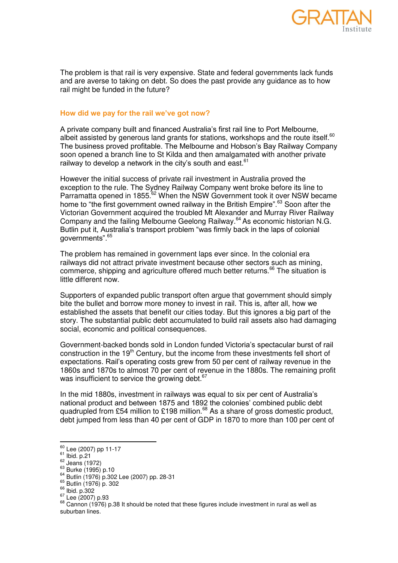

The problem is that rail is very expensive. State and federal governments lack funds and are averse to taking on debt. So does the past provide any guidance as to how rail might be funded in the future?

## **How did we pay for the rail we've got now?**

A private company built and financed Australia's first rail line to Port Melbourne, albeit assisted by generous land grants for stations, workshops and the route itself. $^{60}$ The business proved profitable. The Melbourne and Hobson's Bay Railway Company soon opened a branch line to St Kilda and then amalgamated with another private railway to develop a network in the city's south and east.  $61$ 

However the initial success of private rail investment in Australia proved the exception to the rule. The Sydney Railway Company went broke before its line to Parramatta opened in 1855.<sup>62</sup> When the NSW Government took it over NSW became home to "the first government owned railway in the British Empire".<sup>63</sup> Soon after the Victorian Government acquired the troubled Mt Alexander and Murray River Railway Company and the failing Melbourne Geelong Railway.<sup>64</sup> As economic historian N.G. Butlin put it, Australia's transport problem "was firmly back in the laps of colonial governments".<sup>65</sup>

The problem has remained in government laps ever since. In the colonial era railways did not attract private investment because other sectors such as mining, commerce, shipping and agriculture offered much better returns.<sup>66</sup> The situation is little different now.

Supporters of expanded public transport often argue that government should simply bite the bullet and borrow more money to invest in rail. This is, after all, how we established the assets that benefit our cities today. But this ignores a big part of the story. The substantial public debt accumulated to build rail assets also had damaging social, economic and political consequences.

Government-backed bonds sold in London funded Victoria's spectacular burst of rail construction in the  $19<sup>th</sup>$  Century, but the income from these investments fell short of expectations. Rail's operating costs grew from 50 per cent of railway revenue in the 1860s and 1870s to almost 70 per cent of revenue in the 1880s. The remaining profit was insufficient to service the growing debt.  $67$ 

In the mid 1880s, investment in railways was equal to six per cent of Australia's national product and between 1875 and 1892 the colonies' combined public debt quadrupled from £54 million to £198 million.<sup>68</sup> As a share of gross domestic product, debt jumped from less than 40 per cent of GDP in 1870 to more than 100 per cent of

<sup>&</sup>lt;sup>60</sup> Lee (2007) pp 11-17

 $61$  Ibid. p.21

 $62$  Jeans (1972)

 $63$  Burke (1995) p.10

<sup>64</sup> Butlin (1976) p.302 Lee (2007) pp. 28-31

<sup>65</sup> Butlin (1976) p. 302

<sup>66</sup> Ibid. p.302

<sup>67</sup> Lee (2007) p.93

 $68$  Cannon (1976) p.38 It should be noted that these figures include investment in rural as well as suburban lines.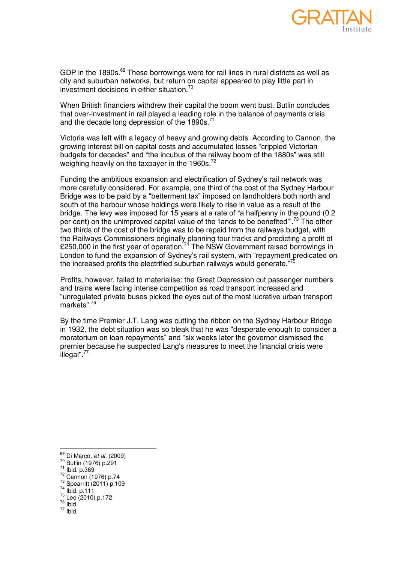

GDP in the 1890s. $^{69}$  These borrowings were for rail lines in rural districts as well as city and suburban networks, but return on capital appeared to play little part in investment decisions in either situation.<sup>70</sup>

When British financiers withdrew their capital the boom went bust. Butlin concludes that over-investment in rail played a leading role in the balance of payments crisis and the decade long depression of the  $1890s$ .<sup>71</sup>

Victoria was left with a legacy of heavy and growing debts. According to Cannon, the growing interest bill on capital costs and accumulated losses ―crippled Victorian budgets for decades" and "the incubus of the railway boom of the 1880s" was still weighing heavily on the taxpayer in the 1960s.<sup>72</sup>

Funding the ambitious expansion and electrification of Sydney's rail network was more carefully considered. For example, one third of the cost of the Sydney Harbour Bridge was to be paid by a "betterment tax" imposed on landholders both north and south of the harbour whose holdings were likely to rise in value as a result of the bridge. The levy was imposed for 15 years at a rate of "a halfpenny in the pound (0.2) per cent) on the unimproved capital value of the 'lands to be benefited".<sup>73</sup> The other two thirds of the cost of the bridge was to be repaid from the railways budget, with the Railways Commissioners originally planning four tracks and predicting a profit of E250,000 in the first year of operation.<sup>74</sup> The NSW Government raised borrowings in London to fund the expansion of Sydney's rail system, with "repayment predicated on the increased profits the electrified suburban railways would generate."

Profits, however, failed to materialise: the Great Depression cut passenger numbers and trains were facing intense competition as road transport increased and ―unregulated private buses picked the eyes out of the most lucrative urban transport markets".<sup>76</sup>

By the time Premier J.T. Lang was cutting the ribbon on the Sydney Harbour Bridge in 1932, the debt situation was so bleak that he was "desperate enough to consider a moratorium on loan repayments" and "six weeks later the governor dismissed the premier because he suspected Lang's measures to meet the financial crisis were illegal".<sup>77</sup>

- <sup>72</sup> Cannon (1976) p.74
- <sup>73</sup> Spearritt (2011) p.109

 $77$  Ibid.

<sup>69</sup> Di Marco*, et al.* (2009)

<sup>70</sup> Butlin (1976) p.291

<sup>71</sup> Ibid. p.369

<sup>74</sup> Ibid. p.111 <sup>75</sup> Lee (2010) p.172

 $\frac{76}{ }$  Ibid.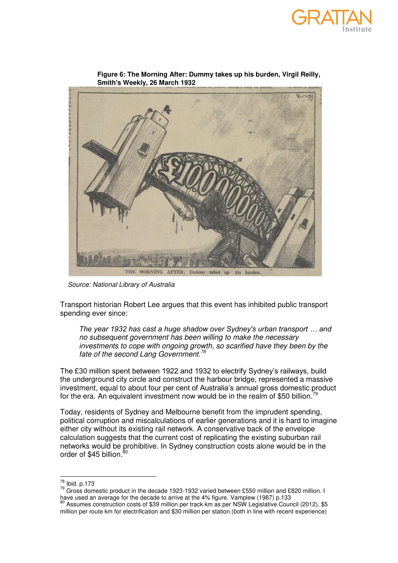



**Figure 6: The Morning After: Dummy takes up his burden, Virgil Reilly, Smith's Weekly, 26 March 1932**

*Source: National Library of Australia* 

Transport historian Robert Lee argues that this event has inhibited public transport spending ever since:

*The year 1932 has cast a huge shadow over Sydney's urban transport … and no subsequent government has been willing to make the necessary investments to cope with ongoing growth, so scarified have they been by the fate of the second Lang Government.<sup>78</sup>*

The £30 million spent between 1922 and 1932 to electrify Sydney's railways, build the underground city circle and construct the harbour bridge, represented a massive investment, equal to about four per cent of Australia's annual gross domestic product for the era. An equivalent investment now would be in the realm of \$50 billion.<sup>7</sup>

Today, residents of Sydney and Melbourne benefit from the imprudent spending, political corruption and miscalculations of earlier generations and it is hard to imagine either city without its existing rail network. A conservative back of the envelope calculation suggests that the current cost of replicating the existing suburban rail networks would be prohibitive. In Sydney construction costs alone would be in the order of \$45 billion.<sup>80</sup>

 $^{78}$  Ibid. p.173

 $79$  Gross domestic product in the decade 1923-1932 varied between £550 million and £820 million. I have used an average for the decade to arrive at the 4% figure. Vamplew (1987) p.133

<sup>80</sup> Assumes construction costs of \$39 million per track km as per NSW Legislative Council (2012), \$5 million per route km for electrification and \$30 million per station (both in line with recent experience)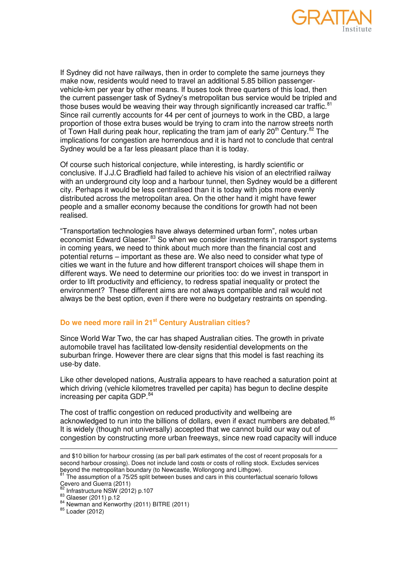

If Sydney did not have railways, then in order to complete the same journeys they make now, residents would need to travel an additional 5.85 billion passengervehicle-km per year by other means. If buses took three quarters of this load, then the current passenger task of Sydney's metropolitan bus service would be tripled and those buses would be weaving their way through significantly increased car traffic.<sup>81</sup> Since rail currently accounts for 44 per cent of journeys to work in the CBD, a large proportion of those extra buses would be trying to cram into the narrow streets north of Town Hall during peak hour, replicating the tram jam of early 20<sup>th</sup> Century.<sup>82</sup> The implications for congestion are horrendous and it is hard not to conclude that central Sydney would be a far less pleasant place than it is today.

Of course such historical conjecture, while interesting, is hardly scientific or conclusive. If J.J.C Bradfield had failed to achieve his vision of an electrified railway with an underground city loop and a harbour tunnel, then Sydney would be a different city. Perhaps it would be less centralised than it is today with jobs more evenly distributed across the metropolitan area. On the other hand it might have fewer people and a smaller economy because the conditions for growth had not been realised.

"Transportation technologies have always determined urban form", notes urban economist Edward Glaeser.<sup>83</sup> So when we consider investments in transport systems in coming years, we need to think about much more than the financial cost and potential returns – important as these are. We also need to consider what type of cities we want in the future and how different transport choices will shape them in different ways. We need to determine our priorities too: do we invest in transport in order to lift productivity and efficiency, to redress spatial inequality or protect the environment? These different aims are not always compatible and rail would not always be the best option, even if there were no budgetary restraints on spending.

# **Do we need more rail in 21st Century Australian cities?**

Since World War Two, the car has shaped Australian cities. The growth in private automobile travel has facilitated low-density residential developments on the suburban fringe. However there are clear signs that this model is fast reaching its use-by date.

Like other developed nations, Australia appears to have reached a saturation point at which driving (vehicle kilometres travelled per capita) has begun to decline despite increasing per capita GDP.<sup>84</sup>

The cost of traffic congestion on reduced productivity and wellbeing are acknowledged to run into the billions of dollars, even if exact numbers are debated.<sup>85</sup> It is widely (though not universally) accepted that we cannot build our way out of congestion by constructing more urban freeways, since new road capacity will induce

```
The assumption of a 75/25 split between buses and cars in this counterfactual scenario follows
Cevero and Guerra (2011)
```

```
82 Infrastructure NSW (2012) p.107
```

```
83 Glaeser (2011) p.12
```

```
85 Loader (2012)
```
-

and \$10 billion for harbour crossing (as per ball park estimates of the cost of recent proposals for a second harbour crossing). Does not include land costs or costs of rolling stock. Excludes services beyond the metropolitan boundary (to Newcastle, Wollongong and Lithgow).<br>Beyond the metropolitan boundary (to Newcastle, Wollongong and Lithgow).

<sup>84</sup> Newman and Kenworthy (2011) BITRE (2011)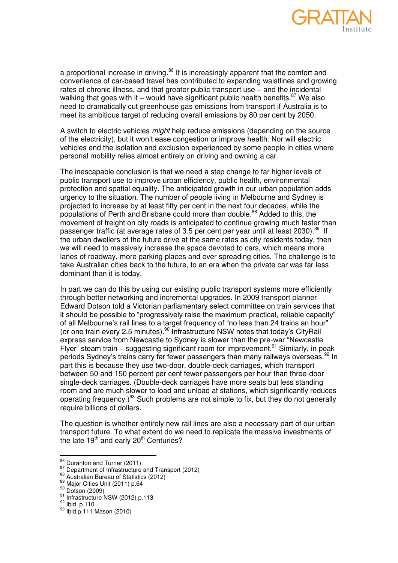

a proportional increase in driving.<sup>86</sup> It is increasingly apparent that the comfort and convenience of car-based travel has contributed to expanding waistlines and growing rates of chronic illness, and that greater public transport use – and the incidental walking that goes with it – would have significant public health benefits. $87$  We also need to dramatically cut greenhouse gas emissions from transport if Australia is to meet its ambitious target of reducing overall emissions by 80 per cent by 2050.

A switch to electric vehicles *might* help reduce emissions (depending on the source of the electricity), but it won't ease congestion or improve health. Nor will electric vehicles end the isolation and exclusion experienced by some people in cities where personal mobility relies almost entirely on driving and owning a car.

The inescapable conclusion is that we need a step change to far higher levels of public transport use to improve urban efficiency, public health, environmental protection and spatial equality. The anticipated growth in our urban population adds urgency to the situation. The number of people living in Melbourne and Sydney is projected to increase by at least fifty per cent in the next four decades, while the populations of Perth and Brisbane could more than double.<sup>88</sup> Added to this, the movement of freight on city roads is anticipated to continue growing much faster than passenger traffic (at average rates of 3.5 per cent per year until at least 2030).<sup>89</sup> If the urban dwellers of the future drive at the same rates as city residents today, then we will need to massively increase the space devoted to cars, which means more lanes of roadway, more parking places and ever spreading cities. The challenge is to take Australian cities back to the future, to an era when the private car was far less dominant than it is today.

In part we can do this by using our existing public transport systems more efficiently through better networking and incremental upgrades. In 2009 transport planner Edward Dotson told a Victorian parliamentary select committee on train services that it should be possible to "progressively raise the maximum practical, reliable capacity" of all Melbourne's rail lines to a target frequency of "no less than 24 trains an hour" (or one train every 2.5 minutes).<sup>90</sup> Infrastructure NSW notes that today's CityRail express service from Newcastle to Sydney is slower than the pre-war "Newcastle Flyer" steam train – suggesting significant room for improvement.<sup>91</sup> Similarly, in peak periods Sydney's trains carry far fewer passengers than many railways overseas.<sup>92</sup> In part this is because they use two-door, double-deck carriages, which transport between 50 and 150 percent per cent fewer passengers per hour than three-door single-deck carriages. (Double-deck carriages have more seats but less standing room and are much slower to load and unload at stations, which significantly reduces operating frequency.) $93$  Such problems are not simple to fix, but they do not generally require billions of dollars.

The question is whether entirely new rail lines are also a necessary part of our urban transport future. To what extent do we need to replicate the massive investments of the late  $19<sup>th</sup>$  and early  $20<sup>th</sup>$  Centuries?

 $^{86}_{2}$  Duranton and Turner (2011)

<sup>87</sup> Department of Infrastructure and Transport (2012)

<sup>88</sup> Australian Bureau of Statistics (2012)

<sup>89</sup> Maior Cities Unit (2011) p.64

<sup>90</sup> Dotson (2009)

<sup>91</sup> Infrastructure NSW (2012) p.113

<sup>92</sup> Ibid. p.110

<sup>93</sup> Ibid.p.111 Mason (2010)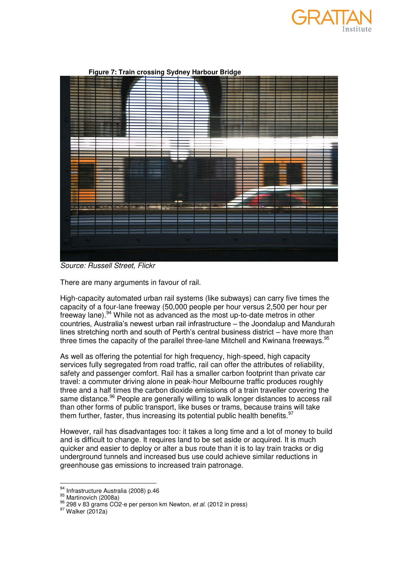



## **Figure 7: Train crossing Sydney Harbour Bridge**

*Source: Russell Street, Flickr* 

There are many arguments in favour of rail.

High-capacity automated urban rail systems (like subways) can carry five times the capacity of a four-lane freeway (50,000 people per hour versus 2,500 per hour per freeway lane).<sup>94</sup> While not as advanced as the most up-to-date metros in other countries, Australia's newest urban rail infrastructure – the Joondalup and Mandurah lines stretching north and south of Perth's central business district – have more than three times the capacity of the parallel three-lane Mitchell and Kwinana freeways.<sup>95</sup>

As well as offering the potential for high frequency, high-speed, high capacity services fully segregated from road traffic, rail can offer the attributes of reliability, safety and passenger comfort. Rail has a smaller carbon footprint than private car travel: a commuter driving alone in peak-hour Melbourne traffic produces roughly three and a half times the carbon dioxide emissions of a train traveller covering the same distance.<sup>96</sup> People are generally willing to walk longer distances to access rail than other forms of public transport, like buses or trams, because trains will take them further, faster, thus increasing its potential public health benefits.  $97$ 

However, rail has disadvantages too: it takes a long time and a lot of money to build and is difficult to change. It requires land to be set aside or acquired. It is much quicker and easier to deploy or alter a bus route than it is to lay train tracks or dig underground tunnels and increased bus use could achieve similar reductions in greenhouse gas emissions to increased train patronage.

<sup>&</sup>lt;sup>94</sup> Infrastructure Australia (2008) p.46

<sup>&</sup>lt;sup>95</sup> Martinovich (2008a)

<sup>96</sup> 298 v 83 grams CO2-e per person km Newton*, et al.* (2012 in press)

 $97$  Walker (2012a)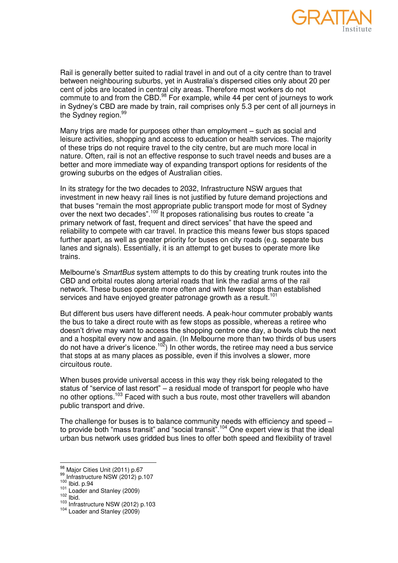

Rail is generally better suited to radial travel in and out of a city centre than to travel between neighbouring suburbs, yet in Australia's dispersed cities only about 20 per cent of jobs are located in central city areas. Therefore most workers do not commute to and from the CBD.<sup>98</sup> For example, while 44 per cent of journeys to work in Sydney's CBD are made by train, rail comprises only 5.3 per cent of all journeys in the Sydney region.<sup>99</sup>

Many trips are made for purposes other than employment – such as social and leisure activities, shopping and access to education or health services. The majority of these trips do not require travel to the city centre, but are much more local in nature. Often, rail is not an effective response to such travel needs and buses are a better and more immediate way of expanding transport options for residents of the growing suburbs on the edges of Australian cities.

In its strategy for the two decades to 2032, Infrastructure NSW argues that investment in new heavy rail lines is not justified by future demand projections and that buses "remain the most appropriate public transport mode for most of Sydney over the next two decades".<sup>100</sup> It proposes rationalising bus routes to create "a" primary network of fast, frequent and direct services" that have the speed and reliability to compete with car travel. In practice this means fewer bus stops spaced further apart, as well as greater priority for buses on city roads (e.g. separate bus lanes and signals). Essentially, it is an attempt to get buses to operate more like trains.

Melbourne's *SmartBus* system attempts to do this by creating trunk routes into the CBD and orbital routes along arterial roads that link the radial arms of the rail network. These buses operate more often and with fewer stops than established services and have enjoyed greater patronage growth as a result.<sup>101</sup>

But different bus users have different needs. A peak-hour commuter probably wants the bus to take a direct route with as few stops as possible, whereas a retiree who doesn't drive may want to access the shopping centre one day, a bowls club the next and a hospital every now and again. (In Melbourne more than two thirds of bus users do not have a driver's licence.<sup>102</sup>) In other words, the retiree may need a bus service that stops at as many places as possible, even if this involves a slower, more circuitous route.

When buses provide universal access in this way they risk being relegated to the status of "service of last resort" – a residual mode of transport for people who have no other options.<sup>103</sup> Faced with such a bus route, most other travellers will abandon public transport and drive.

The challenge for buses is to balance community needs with efficiency and speed – to provide both "mass transit" and "social transit".<sup>104</sup> One expert view is that the ideal urban bus network uses gridded bus lines to offer both speed and flexibility of travel

<sup>&</sup>lt;sup>98</sup> Major Cities Unit (2011) p.67

<sup>99</sup> Infrastructure NSW (2012) p.107

<sup>100</sup> Ibid. p.94

<sup>101</sup> Loader and Stanley (2009)

 $102$  lbid.

<sup>103</sup> Infrastructure NSW (2012) p.103

<sup>104</sup> Loader and Stanley (2009)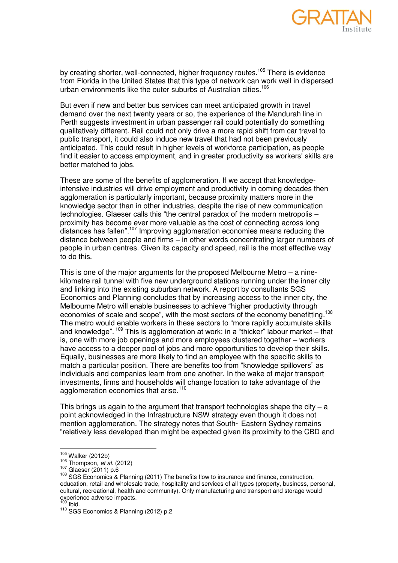

by creating shorter, well-connected, higher frequency routes.<sup>105</sup> There is evidence from Florida in the United States that this type of network can work well in dispersed urban environments like the outer suburbs of Australian cities.<sup>106</sup>

But even if new and better bus services can meet anticipated growth in travel demand over the next twenty years or so, the experience of the Mandurah line in Perth suggests investment in urban passenger rail could potentially do something qualitatively different. Rail could not only drive a more rapid shift from car travel to public transport, it could also induce new travel that had not been previously anticipated. This could result in higher levels of workforce participation, as people find it easier to access employment, and in greater productivity as workers' skills are better matched to jobs.

These are some of the benefits of agglomeration. If we accept that knowledgeintensive industries will drive employment and productivity in coming decades then agglomeration is particularly important, because proximity matters more in the knowledge sector than in other industries, despite the rise of new communication technologies. Glaeser calls this "the central paradox of the modern metropolis – proximity has become ever more valuable as the cost of connecting across long distances has fallen".<sup>107</sup> Improving agglomeration economies means reducing the distance between people and firms – in other words concentrating larger numbers of people in urban centres. Given its capacity and speed, rail is the most effective way to do this.

This is one of the major arguments for the proposed Melbourne Metro – a ninekilometre rail tunnel with five new underground stations running under the inner city and linking into the existing suburban network. A report by consultants SGS Economics and Planning concludes that by increasing access to the inner city, the Melbourne Metro will enable businesses to achieve "higher productivity through economies of scale and scope", with the most sectors of the economy benefitting.<sup>108</sup> The metro would enable workers in these sectors to "more rapidly accumulate skills and knowledge".  $^{109}$  This is agglomeration at work: in a "thicker" labour market – that is, one with more job openings and more employees clustered together – workers have access to a deeper pool of jobs and more opportunities to develop their skills. Equally, businesses are more likely to find an employee with the specific skills to match a particular position. There are benefits too from "knowledge spillovers" as individuals and companies learn from one another. In the wake of major transport investments, firms and households will change location to take advantage of the agglomeration economies that arise.<sup>110</sup>

This brings us again to the argument that transport technologies shape the city  $-$  a point acknowledged in the Infrastructure NSW strategy even though it does not mention agglomeration. The strategy notes that South- Eastern Sydney remains ―relatively less developed than might be expected given its proximity to the CBD and

 $\frac{1}{2}$ 

 $^{105}_{100}$  Walker (2012b)

<sup>106</sup> Thompson*, et al.* (2012)

<sup>107</sup> Glaeser (2011) p.6

<sup>108</sup> SGS Economics & Planning (2011) The benefits flow to insurance and finance, construction, education, retail and wholesale trade, hospitality and services of all types (property, business, personal, cultural, recreational, health and community). Only manufacturing and transport and storage would experience adverse impacts.

Ibid.

<sup>110</sup> SGS Economics & Planning (2012) p.2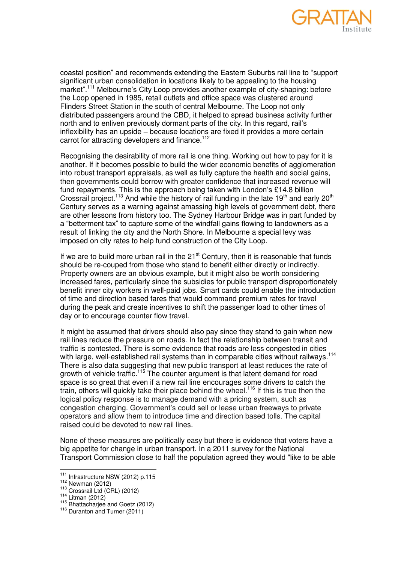

coastal position" and recommends extending the Eastern Suburbs rail line to "support significant urban consolidation in locations likely to be appealing to the housing market".<sup>111</sup> Melbourne's City Loop provides another example of city-shaping: before the Loop opened in 1985, retail outlets and office space was clustered around Flinders Street Station in the south of central Melbourne. The Loop not only distributed passengers around the CBD, it helped to spread business activity further north and to enliven previously dormant parts of the city. In this regard, rail's inflexibility has an upside – because locations are fixed it provides a more certain carrot for attracting developers and finance.<sup>112</sup>

Recognising the desirability of more rail is one thing. Working out how to pay for it is another. If it becomes possible to build the wider economic benefits of agglomeration into robust transport appraisals, as well as fully capture the health and social gains, then governments could borrow with greater confidence that increased revenue will fund repayments. This is the approach being taken with London's £14.8 billion Crossrail project.<sup>113</sup> And while the history of rail funding in the late 19<sup>th</sup> and early 20<sup>th</sup> Century serves as a warning against amassing high levels of government debt, there are other lessons from history too. The Sydney Harbour Bridge was in part funded by a "betterment tax" to capture some of the windfall gains flowing to landowners as a result of linking the city and the North Shore. In Melbourne a special levy was imposed on city rates to help fund construction of the City Loop.

If we are to build more urban rail in the  $21<sup>st</sup>$  Century, then it is reasonable that funds should be re-couped from those who stand to benefit either directly or indirectly. Property owners are an obvious example, but it might also be worth considering increased fares, particularly since the subsidies for public transport disproportionately benefit inner city workers in well-paid jobs. Smart cards could enable the introduction of time and direction based fares that would command premium rates for travel during the peak and create incentives to shift the passenger load to other times of day or to encourage counter flow travel.

It might be assumed that drivers should also pay since they stand to gain when new rail lines reduce the pressure on roads. In fact the relationship between transit and traffic is contested. There is some evidence that roads are less congested in cities with large, well-established rail systems than in comparable cities without railways.<sup>114</sup> There is also data suggesting that new public transport at least reduces the rate of growth of vehicle traffic.<sup>115</sup> The counter argument is that latent demand for road space is so great that even if a new rail line encourages some drivers to catch the train, others will quickly take their place behind the wheel.<sup>116</sup> If this is true then the logical policy response is to manage demand with a pricing system, such as congestion charging. Government's could sell or lease urban freeways to private operators and allow them to introduce time and direction based tolls. The capital raised could be devoted to new rail lines.

None of these measures are politically easy but there is evidence that voters have a big appetite for change in urban transport. In a 2011 survey for the National Transport Commission close to half the population agreed they would "like to be able

 $\frac{1}{2}$ 

 $^{111}_{11}$  Infrastructure NSW (2012) p.115

<sup>112</sup> Newman (2012)

 $113$  Crossrail Ltd (CRL) (2012)

 $114$  Litman (2012)

 $115$  Bhattacharjee and Goetz (2012)

<sup>&</sup>lt;sup>116</sup> Duranton and Turner (2011)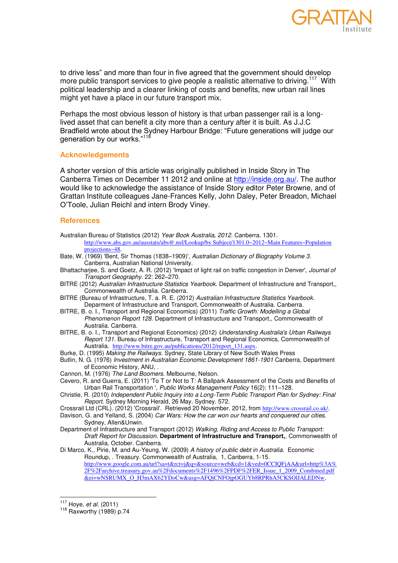

to drive less" and more than four in five agreed that the government should develop more public transport services to give people a realistic alternative to driving.<sup>117</sup> With political leadership and a clearer linking of costs and benefits, new urban rail lines might yet have a place in our future transport mix.

Perhaps the most obvious lesson of history is that urban passenger rail is a longlived asset that can benefit a city more than a century after it is built. As J.J.C Bradfield wrote about the Sydney Harbour Bridge: "Future generations will judge our generation by our works."<sup>118</sup>

#### **Acknowledgements**

A shorter version of this article was originally published in Inside Story in The Canberra Times on December 11 2012 and online at [http://inside.org.au/.](http://inside.org.au/) The author would like to acknowledge the assistance of Inside Story editor Peter Browne, and of Grattan Institute colleagues Jane-Frances Kelly, John Daley, Peter Breadon, Michael O'Toole, Julian Reichl and intern Brody Viney.

#### **References**

- Australian Bureau of Statistics (2012) *Year Book Australia, 2012*. Canberra. 1301.
- [http://www.abs.gov.au/ausstats/abs@.nsf/Lookup/by Subject/1301.0~2012~Main Features~Population](http://www.abs.gov.au/ausstats/abs@.nsf/Lookup/by%20Subject/1301.0~2012~Main%20Features~Population%20projections~48)  [projections~48](http://www.abs.gov.au/ausstats/abs@.nsf/Lookup/by%20Subject/1301.0~2012~Main%20Features~Population%20projections~48).
- Bate, W. (1969) 'Bent, Sir Thomas (1838–1909)', *Australian Dictionary of Biography Volume 3*. Canberra, Australian National University.
- Bhattacharjee, S. and Goetz, A. R. (2012) 'Impact of light rail on traffic congestion in Denver', *Journal of Transport Geography*. 22: 262–270.
- <span id="page-21-0"></span>BITRE (2012) *Australian Infrastructure Statistics Yearbook.* Department of Infrastructure and Transport,, Commonwealth of Australia. Canberra.
- BITRE (Bureau of Infrastructure, T. a. R. E. (2012) *Australian Infrastructure Statistics Yearbook.* Deparment of Infrastructure and Transport, Commonwealth of Australia. Canberra.
- BITRE, B. o. I., Transport and Regional Economics) (2011) *Traffic Growth: Modelling a Global Phenomenon Report 128.* Department of Infrastructure and Transport,, Commonwealth of Australia. Canberra.
- BITRE, B. o. I., Transport and Regional Economics) (2012) *Understanding Australia's Urban Railways Report 131.* Bureau of Infrastructure, Transport and Regional Economics, Commonwealth of Australia. [http://www.bitre.gov.au/publications/2012/report\\_131.aspx](http://www.bitre.gov.au/publications/2012/report_131.aspx).
- Burke, D. (1995) *Making the Railways*. Sydney, State Library of New South Wales Press
- Butlin, N. G. (1976) *Investment in Australian Economic Development 1861-1901* Canberra, Department of Economic History, ANU, .
- Cannon, M. (1976) *The Land Boomers*. Melbourne, Nelson.
- Cevero, R. and Guerra, E. (2011) 'To T or Not to T: A Ballpark Assessment of the Costs and Benefits of Urban Rail Transportation ', *Public Works Management Policy* 16(2): 111–128.
- Christie, R. (2010) *Independent Public Inquiry into a Long-Term Public Transport Plan for Sydney: Final Report.* Sydney Morning Herald, 26 May. Sydney. 572.
- Crossrail Ltd (CRL). (2012) 'Crossrail'. Retrieved 20 November. 2012, from <http://www.crossrail.co.uk/>.
- Davison, G. and Yelland, S. (2004) *Car Wars: How the car won our hearts and conquered our cities.* Sydney, Allen&Unwin.
- Department of Infrastructure and Transport (2012) *Walking, Riding and Access to Public Transport: Draft Report for Discussion.* **Department of Infrastructure and Transport,**, Commonwealth of Australia, October. Canberra.
- Di Marco, K., Pirie, M. and Au-Yeung, W. (2009) *A history of public debt in Australia*. Economic Roundup, . Treasury. Commonwealth of Australia, 1, Canberra, 1-15. [http://www.google.com.au/url?sa=t&rct=j&q=&source=web&cd=1&ved=0CCIQFjAA&url=http%3A%](http://www.google.com.au/url?sa=t&rct=j&q=&source=web&cd=1&ved=0CCIQFjAA&url=http%3A%2F%2Farchive.treasury.gov.au%2Fdocuments%2F1496%2FPDF%2FER_Issue_1_2009_Combined.pdf&ei=wNSRUMX_O_H3mAX62YDoCw&usg=AFQjCNFOjpOGUYb8RPRhA5CKSOlJALEDNw) [2F%2Farchive.treasury.gov.au%2Fdocuments%2F1496%2FPDF%2FER\\_Issue\\_1\\_2009\\_Combined.pdf](http://www.google.com.au/url?sa=t&rct=j&q=&source=web&cd=1&ved=0CCIQFjAA&url=http%3A%2F%2Farchive.treasury.gov.au%2Fdocuments%2F1496%2FPDF%2FER_Issue_1_2009_Combined.pdf&ei=wNSRUMX_O_H3mAX62YDoCw&usg=AFQjCNFOjpOGUYb8RPRhA5CKSOlJALEDNw) [&ei=wNSRUMX\\_O\\_H3mAX62YDoCw&usg=AFQjCNFOjpOGUYb8RPRhA5CKSOlJALEDNw](http://www.google.com.au/url?sa=t&rct=j&q=&source=web&cd=1&ved=0CCIQFjAA&url=http%3A%2F%2Farchive.treasury.gov.au%2Fdocuments%2F1496%2FPDF%2FER_Issue_1_2009_Combined.pdf&ei=wNSRUMX_O_H3mAX62YDoCw&usg=AFQjCNFOjpOGUYb8RPRhA5CKSOlJALEDNw).

 $\frac{1}{2}$ <sup>117</sup> Hoye*, et al.* (2011)

<sup>118</sup> Raxworthy (1989) p.74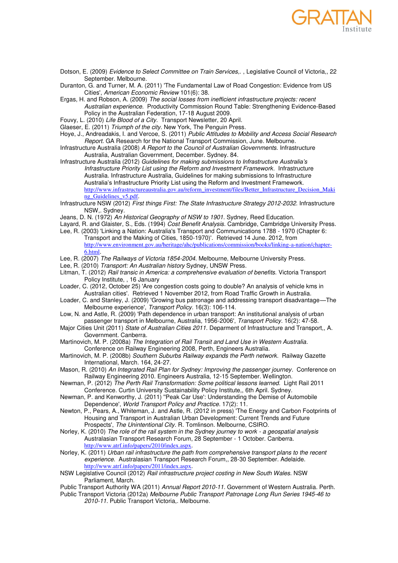

- Dotson, E. (2009) *Evidence to Select Committee on Train Services,.* , Legislative Council of Victoria,, 22 September. Melbourne.
- Duranton, G. and Turner, M. A. (2011) 'The Fundamental Law of Road Congestion: Evidence from US Cities', *American Economic Review* 101(6): 38.
- Ergas, H. and Robson, A. (2009) *The social losses from inefficient infrastructure projects: recent Australian experience*. Productivity Commission Round Table: Strengthening Evidence-Based Policy in the Australian Federation, 17-18 August 2009.
- Fouvy, L. (2010) *Life Blood of a City*. Transport Newsletter, 20 April.
- Glaeser, E. (2011) *Triumph of the city*. New York, The Penguin Press.
- Hoye, J., Andreadakis, I. and Vercoe, S. (2011) *Public Attitudes to Mobility and Access Social Research Report.* GA Research for the National Transport Commission, June. Melbourne.
- Infrastructure Australia (2008) *A Report to the Council of Australian Governments.* Infrastructure Australia, Australian Government, December. Sydney. 84.
- Infrastructure Australia (2012) *Guidelines for making submissions to Infrastructure Australia's Infrastructure Priority List using the Reform and Investment Framework*. Infrastructure Australia. Infrastructure Australia, Guidelines for making submissions to Infrastructure Australia's Infrastructure Priority List using the Reform and Investment Framework. [http://www.infrastructureaustralia.gov.au/reform\\_investment/files/Better\\_Infrastructure\\_Decision\\_Maki](http://www.infrastructureaustralia.gov.au/reform_investment/files/Better_Infrastructure_Decision_Making_Guidelines_v5.pdf) [ng\\_Guidelines\\_v5.pdf](http://www.infrastructureaustralia.gov.au/reform_investment/files/Better_Infrastructure_Decision_Making_Guidelines_v5.pdf).
- Infrastructure NSW (2012) *First things First: The State Infrastructure Strategy 2012-2032.* Infrastructure NSW,. Sydney.
- Jeans, D. N. (1972) *An Historical Geography of NSW to 1901*. Sydney, Reed Education.
- Layard, R. and Glaister, S., Eds. (1994) *Cost Benefit Analysis*. Cambridge, Cambridge University Press.
- Lee, R. (2003) 'Linking a Nation: Australia's Transport and Communications 1788 1970 (Chapter 6: Transport and the Making of Cities, 1850-1970)'. Retrieved 14 June. 2012, from [http://www.environment.gov.au/heritage/ahc/publications/commission/books/linking-a-nation/chapter-](http://www.environment.gov.au/heritage/ahc/publications/commission/books/linking-a-nation/chapter-6.html)[6.html](http://www.environment.gov.au/heritage/ahc/publications/commission/books/linking-a-nation/chapter-6.html).
- <span id="page-22-0"></span>Lee, R. (2007) *The Railways of Victoria 1854-2004*. Melbourne, Melbourne University Press.
- <span id="page-22-1"></span>Lee, R. (2010) *Transport: An Australian history* Sydney, UNSW Press.
- Litman, T. (2012) *Rail transic in America: a comprehensive evaluation of benefits.* Victoria Transport Policy Institute, , 16 January
- Loader, C. (2012, October 25) 'Are congestion costs going to double? An analysis of vehicle kms in Australian cities'. Retrieved 1 November 2012, from Road Traffic Growth in Australia.
- Loader, C. and Stanley, J. (2009) 'Growing bus patronage and addressing transport disadvantage—The Melbourne experience', *Transport Policy*. 16(3): 106-114.
- Low, N. and Astle, R. (2009) 'Path dependence in urban transport: An institutional analysis of urban passenger transport in Melbourne, Australia, 1956-2006', *Transport Policy*. 16(2): 47-58.
- Major Cities Unit (2011) *State of Australian Cities 2011.* Deparment of Infrastructure and Transport,, A. Government. Canberra.
- Martinovich, M. P. (2008a) *The Integration of Rail Transit and Land Use in Western Australia*. Conference on Railway Engineering 2008, Perth, Engineers Australia.
- Martinovich, M. P. (2008b) *Southern Suburbs Railway expands the Perth network*. Railway Gazette International, March. 164, 24-27.
- Mason, R. (2010) *An Integrated Rail Plan for Sydney: Improving the passenger journey*. Conference on Railway Engineering 2010. Engineers Australia, 12-15 September. Wellington.
- Newman, P. (2012) *The Perth Rail Transformation: Some political lessons learned.* Light Rail 2011 Conference. Curtin University Sustainability Policy Institute,, 6th April. Sydney.
- Newman, P. and Kenworthy, J. (2011) ''Peak Car Use': Understanding the Demise of Automobile Dependence', *World Transport Policy and Practice*. 17(2): 11.
- Newton, P., Pears, A., Whiteman, J. and Astle, R. (2012 in press) 'The Energy and Carbon Footprints of Housing and Transport in Australian Urban Development: Current Trends and Future Prospects', *The Unintentional City*. R. Tomlinson. Melbourne, CSIRO.
- Norley, K. (2010) *The role of the rail system in the Sydney journey to work a geospatial analysis*  Australasian Transport Research Forum, 28 September - 1 October. Canberra. <http://www.atrf.info/papers/2010/index.aspx>.
- Norley, K. (2011) *Urban rail infrastructure the path from comprehensive transport plans to the recent experience*. Australasian Transport Research Forum,, 28-30 September. Adelaide. <http://www.atrf.info/papers/2011/index.aspx>.
- NSW Legislative Council (2012) *Rail infrastructure project costing in New South Wales.* NSW Parliament, March.
- Public Transport Authority WA (2011) *Annual Report 2010-11.* Government of Western Australia. Perth.
- <span id="page-22-2"></span>Public Transport Victoria (2012a) *Melbourne Public Transport Patronage Long Run Series 1945-46 to 2010-11.* Public Transport Victoria,. Melbourne.